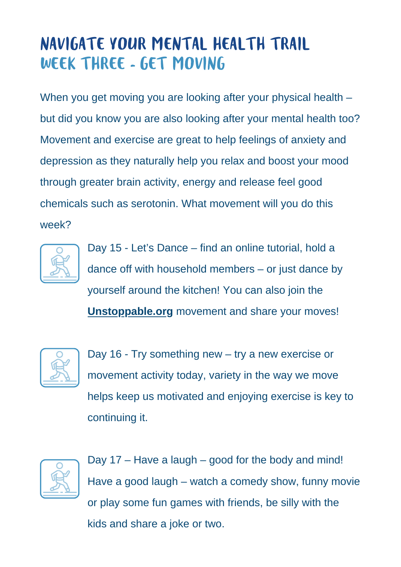## NAVIGATE YOUR MENTAL HEALTH TRAIL WEEK THREE - GET MOVING

When you get moving you are looking after your physical health – but did you know you are also looking after your mental health too? Movement and exercise are great to help feelings of anxiety and depression as they naturally help you relax and boost your mood through greater brain activity, energy and release feel good chemicals such as serotonin. What movement will you do this week?



Day 15 - Let's Dance – find an online tutorial, hold a dance off with household members – or just dance by yourself around the kitchen! You can also join the **[Unstoppable.org](http://unstoppable.org/)** movement and share your moves!



Day 16 - Try something new – try a new exercise or movement activity today, variety in the way we move helps keep us motivated and enjoying exercise is key to continuing it.



Day 17 – Have a laugh – good for the body and mind! Have a good laugh – watch a comedy show, funny movie or play some fun games with friends, be silly with the kids and share a joke or two.